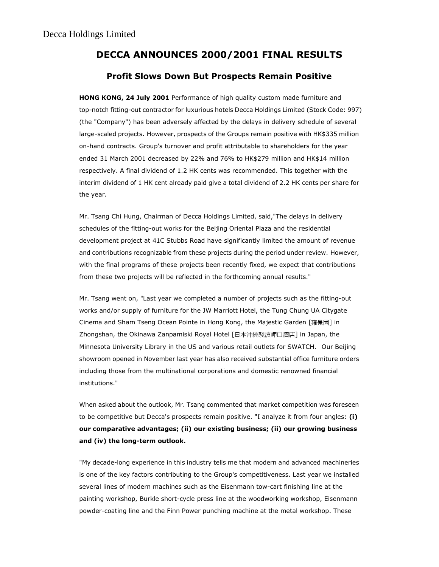# DECCA ANNOUNCES 2000/2001 FINAL RESULTS

## Profit Slows Down But Prospects Remain Positive

HONG KONG, 24 July 2001 Performance of high quality custom made furniture and top-notch fitting-out contractor for luxurious hotels Decca Holdings Limited (Stock Code: 997) (the "Company") has been adversely affected by the delays in delivery schedule of several large-scaled projects. However, prospects of the Groups remain positive with HK\$335 million on-hand contracts. Group's turnover and profit attributable to shareholders for the year ended 31 March 2001 decreased by 22% and 76% to HK\$279 million and HK\$14 million respectively. A final dividend of 1.2 HK cents was recommended. This together with the interim dividend of 1 HK cent already paid give a total dividend of 2.2 HK cents per share for the year.

Mr. Tsang Chi Hung, Chairman of Decca Holdings Limited, said,"The delays in delivery schedules of the fitting-out works for the Beijing Oriental Plaza and the residential development project at 41C Stubbs Road have significantly limited the amount of revenue and contributions recognizable from these projects during the period under review. However, with the final programs of these projects been recently fixed, we expect that contributions from these two projects will be reflected in the forthcoming annual results."

Mr. Tsang went on, "Last year we completed a number of projects such as the fitting-out works and/or supply of furniture for the JW Marriott Hotel, the Tung Chung UA Citygate Cinema and Sham Tseng Ocean Pointe in Hong Kong, the Majestic Garden [雍景園] in Zhongshan, the Okinawa Zanpamiski Royal Hotel [日本沖繩殘波岬口酒店] in Japan, the Minnesota University Library in the US and various retail outlets for SWATCH. Our Beijing showroom opened in November last year has also received substantial office furniture orders including those from the multinational corporations and domestic renowned financial institutions."

When asked about the outlook, Mr. Tsang commented that market competition was foreseen to be competitive but Decca's prospects remain positive. "I analyze it from four angles: (i) our comparative advantages; (ii) our existing business; (ii) our growing business and (iv) the long-term outlook.

"My decade-long experience in this industry tells me that modern and advanced machineries is one of the key factors contributing to the Group's competitiveness. Last year we installed several lines of modern machines such as the Eisenmann tow-cart finishing line at the painting workshop, Burkle short-cycle press line at the woodworking workshop, Eisenmann powder-coating line and the Finn Power punching machine at the metal workshop. These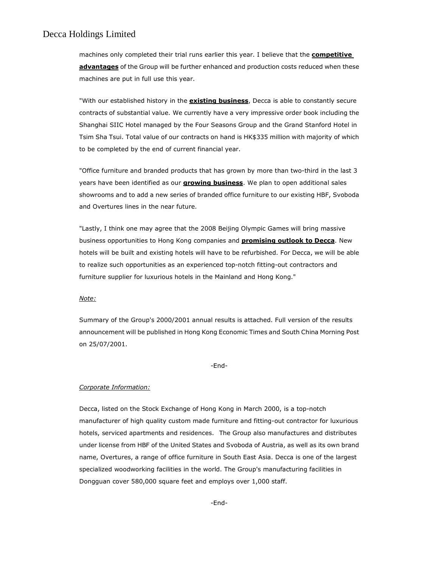### Decca Holdings Limited

machines only completed their trial runs earlier this year. I believe that the **competitive** advantages of the Group will be further enhanced and production costs reduced when these machines are put in full use this year.

"With our established history in the **existing business**, Decca is able to constantly secure contracts of substantial value. We currently have a very impressive order book including the Shanghai SIIC Hotel managed by the Four Seasons Group and the Grand Stanford Hotel in Tsim Sha Tsui. Total value of our contracts on hand is HK\$335 million with majority of which to be completed by the end of current financial year.

"Office furniture and branded products that has grown by more than two-third in the last 3 years have been identified as our **growing business**. We plan to open additional sales showrooms and to add a new series of branded office furniture to our existing HBF, Svoboda and Overtures lines in the near future.

"Lastly, I think one may agree that the 2008 Beijing Olympic Games will bring massive business opportunities to Hong Kong companies and **promising outlook to Decca**. New hotels will be built and existing hotels will have to be refurbished. For Decca, we will be able to realize such opportunities as an experienced top-notch fitting-out contractors and furniture supplier for luxurious hotels in the Mainland and Hong Kong."

#### Note:

Summary of the Group's 2000/2001 annual results is attached. Full version of the results announcement will be published in Hong Kong Economic Times and South China Morning Post on 25/07/2001.

#### -End-

#### Corporate Information:

Decca, listed on the Stock Exchange of Hong Kong in March 2000, is a top-notch manufacturer of high quality custom made furniture and fitting-out contractor for luxurious hotels, serviced apartments and residences. The Group also manufactures and distributes under license from HBF of the United States and Svoboda of Austria, as well as its own brand name, Overtures, a range of office furniture in South East Asia. Decca is one of the largest specialized woodworking facilities in the world. The Group's manufacturing facilities in Dongguan cover 580,000 square feet and employs over 1,000 staff.